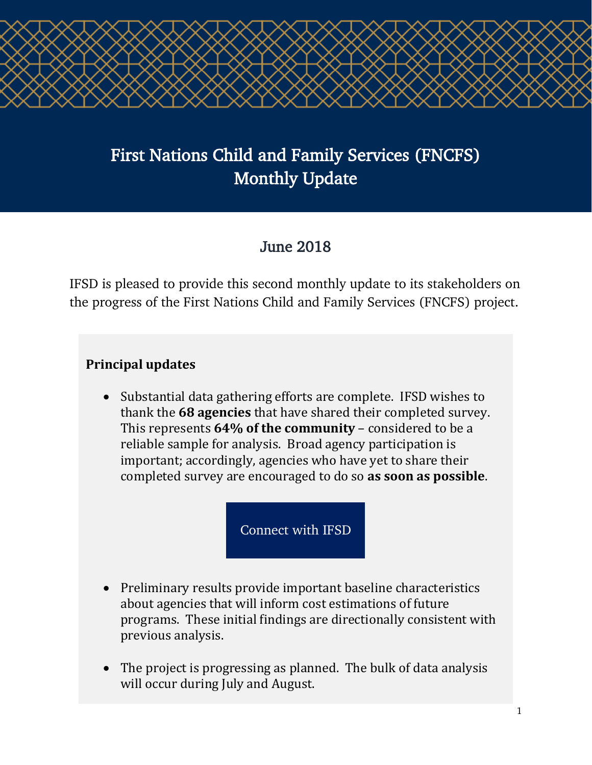

# First Nations Child and Family Services (FNCFS) Monthly Update

## June 2018

IFSD is pleased to provide this second monthly update to its stakeholders on the progress of the First Nations Child and Family Services (FNCFS) project.

### **Principal updates**

• Substantial data gathering efforts are complete. IFSD wishes to thank the **68 agencies** that have shared their completed survey. This represents **64% of the community** – considered to be a reliable sample for analysis. Broad agency participation is important; accordingly, agencies who have yet to share their completed survey are encouraged to do so **as soon as possible**.

[Connect with IFSD](mailto:helaina.gaspard@ifsd.ca?subject=Schedule online - FNCFS Agency Survey)

- Preliminary results provide important baseline characteristics about agencies that will inform cost estimations of future programs. These initial findings are directionally consistent with previous analysis.
- The project is progressing as planned. The bulk of data analysis will occur during July and August.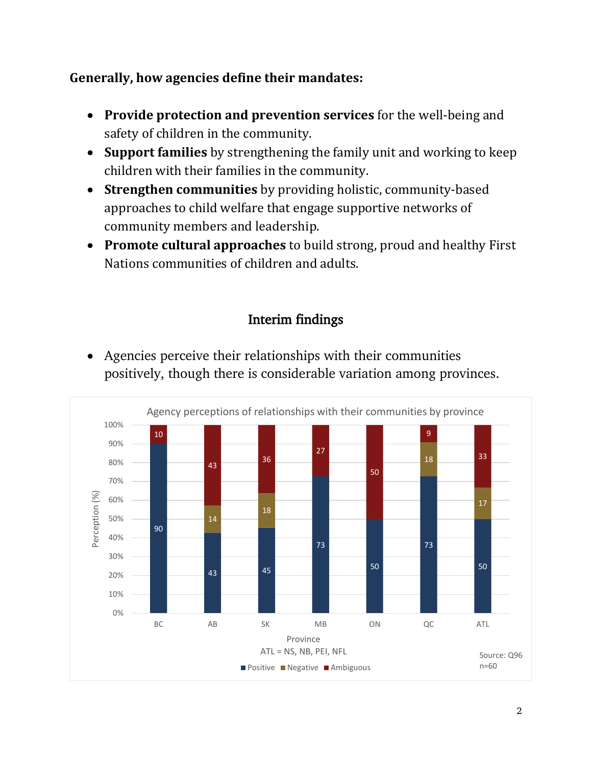#### **Generally, how agencies define their mandates:**

- **Provide protection and prevention services** for the well-being and safety of children in the community.
- **Support families** by strengthening the family unit and working to keep children with their families in the community.
- **Strengthen communities** by providing holistic, community-based approaches to child welfare that engage supportive networks of community members and leadership.
- **Promote cultural approaches** to build strong, proud and healthy First Nations communities of children and adults.

### Interim findings



• Agencies perceive their relationships with their communities positively, though there is considerable variation among provinces.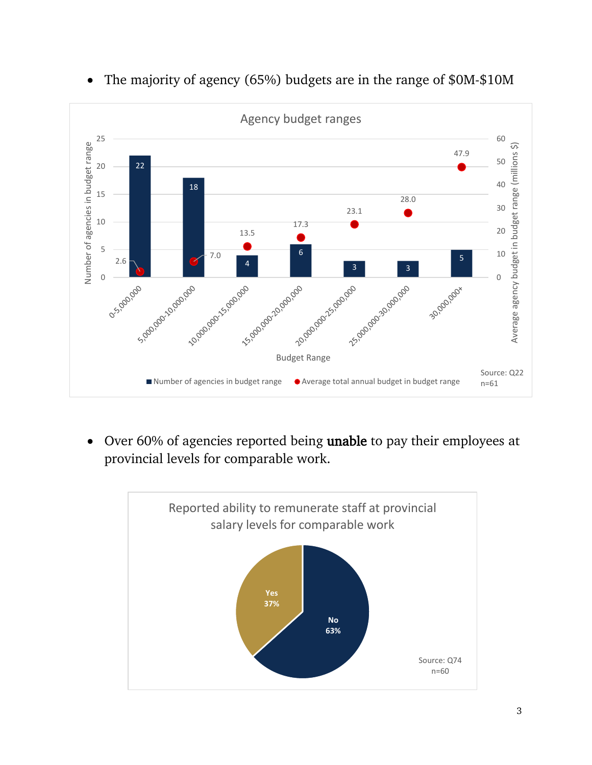

• The majority of agency (65%) budgets are in the range of \$0M-\$10M

• Over 60% of agencies reported being unable to pay their employees at provincial levels for comparable work.

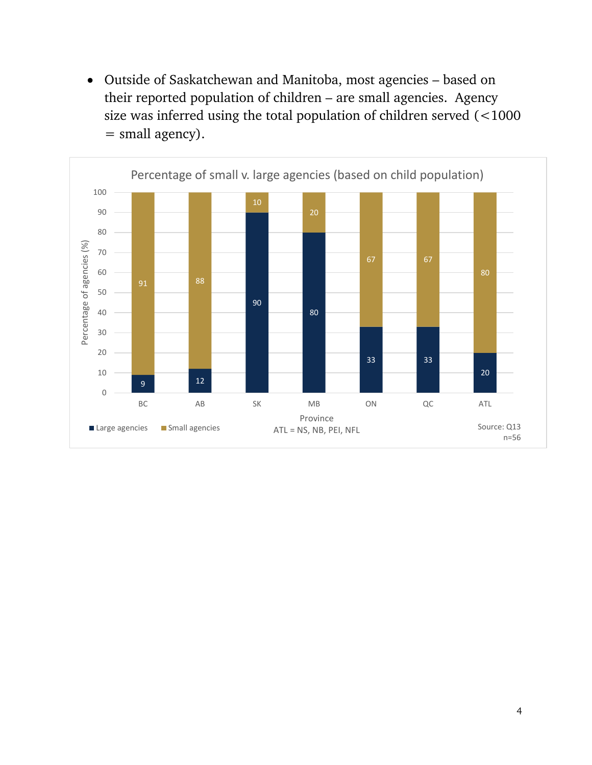• Outside of Saskatchewan and Manitoba, most agencies – based on their reported population of children – are small agencies. Agency size was inferred using the total population of children served (<1000 = small agency).

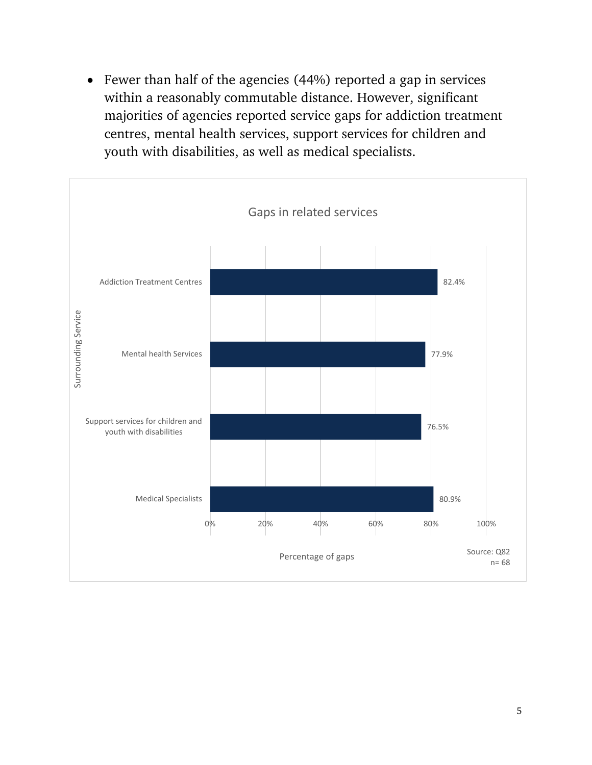• Fewer than half of the agencies (44%) reported a gap in services within a reasonably commutable distance. However, significant majorities of agencies reported service gaps for addiction treatment centres, mental health services, support services for children and youth with disabilities, as well as medical specialists.

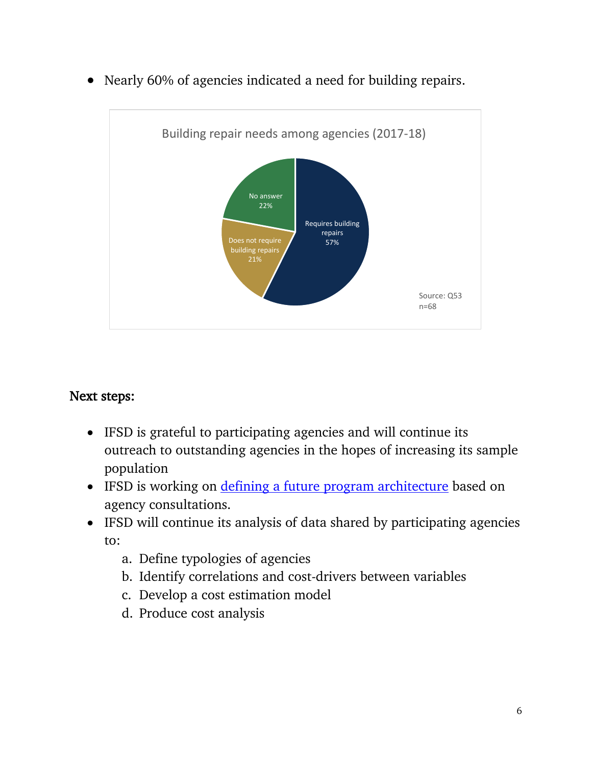• Nearly 60% of agencies indicated a need for building repairs.



#### Next steps:

- IFSD is grateful to participating agencies and will continue its outreach to outstanding agencies in the hopes of increasing its sample population
- IFSD is working on *defining a future program architecture* based on agency consultations.
- IFSD will continue its analysis of data shared by participating agencies to:
	- a. Define typologies of agencies
	- b. Identify correlations and cost-drivers between variables
	- c. Develop a cost estimation model
	- d. Produce cost analysis